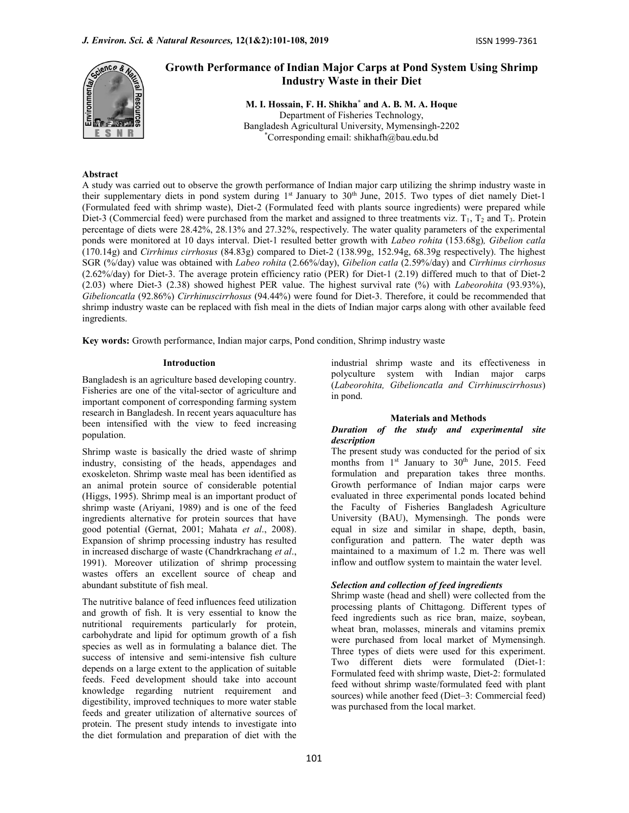

# Growth Performance of Indian Major Carps at Pond System Using Shrimp Industry Waste in their Diet

M. I. Hossain, F. H. Shikha\* and A. B. M. A. Hoque Department of Fisheries Technology, Bangladesh Agricultural University, Mymensingh-2202 \*Corresponding email: shikhafh@bau.edu.bd

## Abstract

A study was carried out to observe the growth performance of Indian major carp utilizing the shrimp industry waste in their supplementary diets in pond system during 1<sup>st</sup> January to 30<sup>th</sup> June, 2015. Two types of diet namely Diet-1 (Formulated feed with shrimp waste), Diet-2 (Formulated feed with plants source ingredients) were prepared while Diet-3 (Commercial feed) were purchased from the market and assigned to three treatments viz.  $T_1$ ,  $T_2$  and  $T_3$ . Protein percentage of diets were 28.42%, 28.13% and 27.32%, respectively. The water quality parameters of the experimental ponds were monitored at 10 days interval. Diet-1 resulted better growth with Labeo rohita (153.68g), Gibelion catla (170.14g) and Cirrhinus cirrhosus (84.83g) compared to Diet-2 (138.99g, 152.94g, 68.39g respectively). The highest SGR (%/day) value was obtained with Labeo rohita (2.66%/day), Gibelion catla (2.59%/day) and Cirrhinus cirrhosus (2.62%/day) for Diet-3. The average protein efficiency ratio (PER) for Diet-1 (2.19) differed much to that of Diet-2 (2.03) where Diet-3 (2.38) showed highest PER value. The highest survival rate (%) with Labeorohita (93.93%), Gibelioncatla (92.86%) Cirrhinuscirrhosus (94.44%) were found for Diet-3. Therefore, it could be recommended that shrimp industry waste can be replaced with fish meal in the diets of Indian major carps along with other available feed ingredients.

Key words: Growth performance, Indian major carps, Pond condition, Shrimp industry waste

### Introduction

Bangladesh is an agriculture based developing country. Fisheries are one of the vital-sector of agriculture and important component of corresponding farming system research in Bangladesh. In recent years aquaculture has been intensified with the view to feed increasing population.

Shrimp waste is basically the dried waste of shrimp industry, consisting of the heads, appendages and exoskeleton. Shrimp waste meal has been identified as an animal protein source of considerable potential (Higgs, 1995). Shrimp meal is an important product of shrimp waste (Ariyani, 1989) and is one of the feed ingredients alternative for protein sources that have good potential (Gernat, 2001; Mahata et al., 2008). Expansion of shrimp processing industry has resulted in increased discharge of waste (Chandrkrachang et al., 1991). Moreover utilization of shrimp processing wastes offers an excellent source of cheap and abundant substitute of fish meal.

The nutritive balance of feed influences feed utilization and growth of fish. It is very essential to know the nutritional requirements particularly for protein, carbohydrate and lipid for optimum growth of a fish species as well as in formulating a balance diet. The success of intensive and semi-intensive fish culture depends on a large extent to the application of suitable feeds. Feed development should take into account knowledge regarding nutrient requirement and digestibility, improved techniques to more water stable feeds and greater utilization of alternative sources of protein. The present study intends to investigate into the diet formulation and preparation of diet with the

industrial shrimp waste and its effectiveness in polyculture system with Indian major carps (Labeorohita, Gibelioncatla and Cirrhinuscirrhosus) in pond.

### Materials and Methods

## Duration of the study and experimental site description

The present study was conducted for the period of six months from 1<sup>st</sup> January to 30<sup>th</sup> June, 2015. Feed formulation and preparation takes three months. Growth performance of Indian major carps were evaluated in three experimental ponds located behind the Faculty of Fisheries Bangladesh Agriculture University (BAU), Mymensingh. The ponds were equal in size and similar in shape, depth, basin, configuration and pattern. The water depth was maintained to a maximum of 1.2 m. There was well inflow and outflow system to maintain the water level.

## Selection and collection of feed ingredients

Shrimp waste (head and shell) were collected from the processing plants of Chittagong. Different types of feed ingredients such as rice bran, maize, soybean, wheat bran, molasses, minerals and vitamins premix were purchased from local market of Mymensingh. Three types of diets were used for this experiment. Two different diets were formulated (Diet-1: Formulated feed with shrimp waste, Diet-2: formulated feed without shrimp waste/formulated feed with plant sources) while another feed (Diet–3: Commercial feed) was purchased from the local market.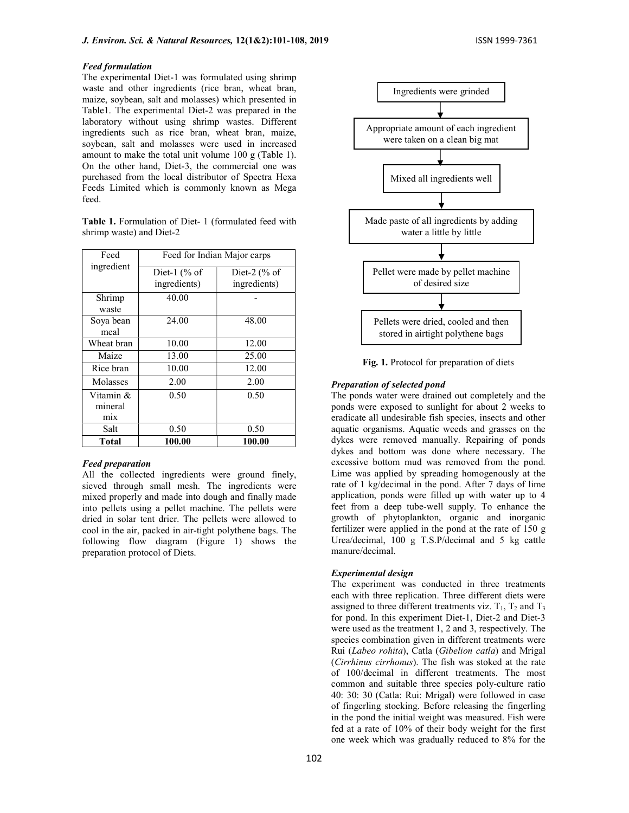### Feed formulation

The experimental Diet-1 was formulated using shrimp waste and other ingredients (rice bran, wheat bran, maize, soybean, salt and molasses) which presented in Table1. The experimental Diet-2 was prepared in the laboratory without using shrimp wastes. Different ingredients such as rice bran, wheat bran, maize, soybean, salt and molasses were used in increased amount to make the total unit volume 100 g (Table 1). On the other hand, Diet-3, the commercial one was purchased from the local distributor of Spectra Hexa Feeds Limited which is commonly known as Mega feed.

Table 1. Formulation of Diet- 1 (formulated feed with shrimp waste) and Diet-2

| Feed                        | Feed for Indian Major carps   |                                              |  |  |  |
|-----------------------------|-------------------------------|----------------------------------------------|--|--|--|
| ingredient                  | Diet-1 $%$ Or<br>ingredients) | Diet-2 $\left(\% \right)$ of<br>ingredients) |  |  |  |
| Shrimp                      | 40.00                         |                                              |  |  |  |
| waste                       |                               |                                              |  |  |  |
| Soya bean<br>meal           | 24.00                         | 48.00                                        |  |  |  |
| Wheat bran                  | 10.00                         | 12.00                                        |  |  |  |
| Maize                       | 13.00                         | 25.00                                        |  |  |  |
| Rice bran                   | 10.00                         | 12.00                                        |  |  |  |
| Molasses                    | 2.00                          | 2.00                                         |  |  |  |
| Vitamin &<br>mineral<br>mix | 0.50                          | 0.50                                         |  |  |  |
| Salt                        | 0.50                          | 0.50                                         |  |  |  |
| Total                       | 100.00                        | 100.00                                       |  |  |  |

## Feed preparation

All the collected ingredients were ground finely, sieved through small mesh. The ingredients were mixed properly and made into dough and finally made into pellets using a pellet machine. The pellets were dried in solar tent drier. The pellets were allowed to cool in the air, packed in air-tight polythene bags. The following flow diagram (Figure 1) shows the preparation protocol of Diets.



Fig. 1. Protocol for preparation of diets

### Preparation of selected pond

The ponds water were drained out completely and the ponds were exposed to sunlight for about 2 weeks to eradicate all undesirable fish species, insects and other aquatic organisms. Aquatic weeds and grasses on the dykes were removed manually. Repairing of ponds dykes and bottom was done where necessary. The excessive bottom mud was removed from the pond. Lime was applied by spreading homogenously at the rate of 1 kg/decimal in the pond. After 7 days of lime application, ponds were filled up with water up to 4 feet from a deep tube-well supply. To enhance the growth of phytoplankton, organic and inorganic fertilizer were applied in the pond at the rate of 150 g Urea/decimal, 100 g T.S.P/decimal and 5 kg cattle manure/decimal.

### Experimental design

The experiment was conducted in three treatments each with three replication. Three different diets were assigned to three different treatments viz.  $T_1$ ,  $T_2$  and  $T_3$ for pond. In this experiment Diet-1, Diet-2 and Diet-3 were used as the treatment 1, 2 and 3, respectively. The species combination given in different treatments were Rui (Labeo rohita), Catla (Gibelion catla) and Mrigal (Cirrhinus cirrhonus). The fish was stoked at the rate of 100/decimal in different treatments. The most common and suitable three species poly-culture ratio 40: 30: 30 (Catla: Rui: Mrigal) were followed in case of fingerling stocking. Before releasing the fingerling in the pond the initial weight was measured. Fish were fed at a rate of 10% of their body weight for the first one week which was gradually reduced to 8% for the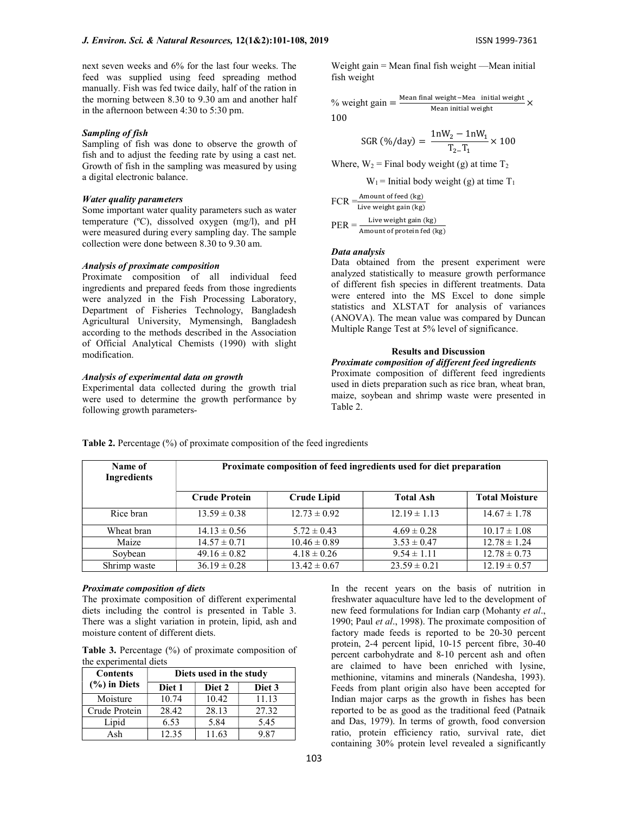next seven weeks and 6% for the last four weeks. The feed was supplied using feed spreading method manually. Fish was fed twice daily, half of the ration in the morning between 8.30 to 9.30 am and another half in the afternoon between 4:30 to 5:30 pm.

### Sampling of fish

Sampling of fish was done to observe the growth of fish and to adjust the feeding rate by using a cast net. Growth of fish in the sampling was measured by using a digital electronic balance.

## Water quality parameters

Some important water quality parameters such as water temperature (ºC), dissolved oxygen (mg/l), and pH were measured during every sampling day. The sample collection were done between 8.30 to 9.30 am.

### Analysis of proximate composition

Proximate composition of all individual feed ingredients and prepared feeds from those ingredients were analyzed in the Fish Processing Laboratory, Department of Fisheries Technology, Bangladesh Agricultural University, Mymensingh, Bangladesh according to the methods described in the Association of Official Analytical Chemists (1990) with slight modification.

### Analysis of experimental data on growth

Experimental data collected during the growth trial were used to determine the growth performance by following growth parametersWeight gain = Mean final fish weight —Mean initial fish weight

% weight gain = 
$$
\frac{\text{Mean final weight} - \text{Mea } \text{ initial weight}}{\text{Mean initial weight}} \times
$$
100

$$
SGR (\% / day) = \frac{1nW_2 - 1nW_1}{T_2 - T_1} \times 100
$$

Where,  $W_2$  = Final body weight (g) at time  $T_2$ 

$$
W_1
$$
 = Initial body weight (g) at time T<sub>1</sub>

 $FCR = \frac{Amount \ of \ feed \ (kg)}{100}$ Live weight gain (kg)  $PER = \frac{Live weight gain (kg)}{Amount of protein fed (kg)}$ 

### Data analysis

Data obtained from the present experiment were analyzed statistically to measure growth performance of different fish species in different treatments. Data were entered into the MS Excel to done simple statistics and XLSTAT for analysis of variances (ANOVA). The mean value was compared by Duncan Multiple Range Test at 5% level of significance.

### Results and Discussion

## Proximate composition of different feed ingredients Proximate composition of different feed ingredients used in diets preparation such as rice bran, wheat bran, maize, soybean and shrimp waste were presented in Table 2.

| Name of<br>Ingredients | Proximate composition of feed ingredients used for diet preparation |                    |                  |                       |  |  |  |  |
|------------------------|---------------------------------------------------------------------|--------------------|------------------|-----------------------|--|--|--|--|
|                        | <b>Crude Protein</b>                                                | <b>Crude Lipid</b> | <b>Total Ash</b> | <b>Total Moisture</b> |  |  |  |  |
| Rice bran              | $13.59 \pm 0.38$                                                    | $12.73 \pm 0.92$   | $12.19 \pm 1.13$ | $14.67 \pm 1.78$      |  |  |  |  |
| Wheat bran             | $14.13 \pm 0.56$                                                    | $5.72 \pm 0.43$    | $4.69 \pm 0.28$  | $10.17 \pm 1.08$      |  |  |  |  |
| Maize                  | $14.57 \pm 0.71$                                                    | $10.46 \pm 0.89$   | $3.53 \pm 0.47$  | $12.78 \pm 1.24$      |  |  |  |  |
| Soybean                | $49.16 \pm 0.82$                                                    | $4.18 \pm 0.26$    | $9.54 \pm 1.11$  | $12.78 \pm 0.73$      |  |  |  |  |
| Shrimp waste           | $36.19 \pm 0.28$                                                    | $13.42 \pm 0.67$   | $23.59 \pm 0.21$ | $12.19 \pm 0.57$      |  |  |  |  |

Table 2. Percentage (%) of proximate composition of the feed ingredients

### Proximate composition of diets

The proximate composition of different experimental diets including the control is presented in Table 3. There was a slight variation in protein, lipid, ash and moisture content of different diets.

Table 3. Percentage (%) of proximate composition of the experimental diets

| <b>Contents</b>  | Diets used in the study |        |        |  |  |  |
|------------------|-------------------------|--------|--------|--|--|--|
| $(\% )$ in Diets | Diet 1                  | Diet 2 | Diet 3 |  |  |  |
| Moisture         | 10.74                   | 10.42  | 11.13  |  |  |  |
| Crude Protein    | 28.42                   | 28.13  | 27.32  |  |  |  |
| Lipid            | 6.53                    | 5.84   | 5.45   |  |  |  |
| Ash              | 12.35                   | 11.63  | 9.87   |  |  |  |

In the recent years on the basis of nutrition in freshwater aquaculture have led to the development of new feed formulations for Indian carp (Mohanty et al., 1990; Paul et al., 1998). The proximate composition of factory made feeds is reported to be 20-30 percent protein, 2-4 percent lipid, 10-15 percent fibre, 30-40 percent carbohydrate and 8-10 percent ash and often are claimed to have been enriched with lysine, methionine, vitamins and minerals (Nandesha, 1993). Feeds from plant origin also have been accepted for Indian major carps as the growth in fishes has been reported to be as good as the traditional feed (Patnaik and Das, 1979). In terms of growth, food conversion ratio, protein efficiency ratio, survival rate, diet containing 30% protein level revealed a significantly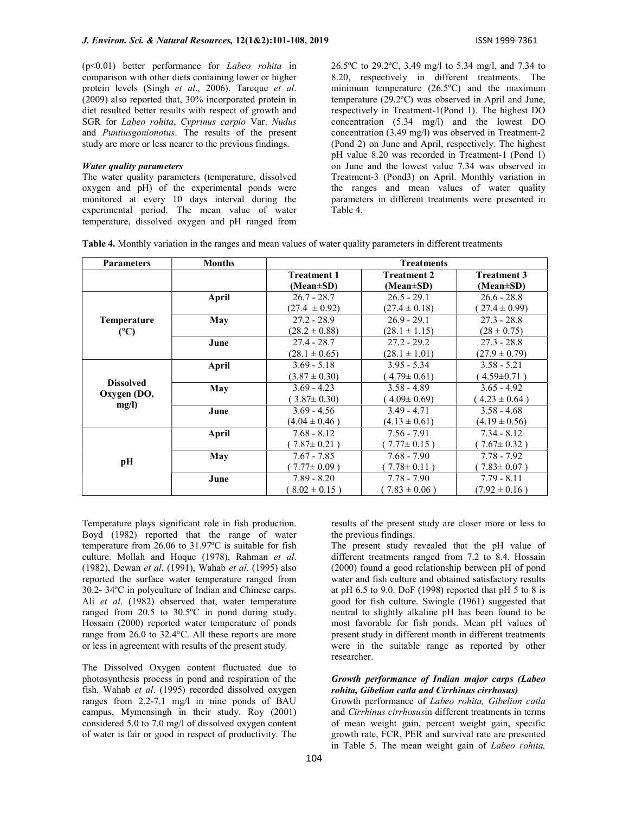(p<0.01) better performance for Labeo rohita in comparison with other diets containing lower or higher protein levels (Singh et al., 2006). Tareque et al. (2009) also reported that, 30% incorporated protein in diet resulted better results with respect of growth and SGR for Labeo rohita, Cyprinus carpio Var. Nudus and Puntiusgonionotus. The results of the present study are more or less nearer to the previous findings.

## Water quality parameters

The water quality parameters (temperature, dissolved oxygen and pH) of the experimental ponds were monitored at every 10 days interval during the experimental period. The mean value of water temperature, dissolved oxygen and pH ranged from 26.5ºC to 29.2ºC, 3.49 mg/l to 5.34 mg/l, and 7.34 to 8.20, respectively in different treatments. The minimum temperature (26.5ºC) and the maximum temperature (29.2ºC) was observed in April and June, respectively in Treatment-1(Pond 1). The highest DO concentration (5.34 mg/l) and the lowest DO concentration (3.49 mg/l) was observed in Treatment-2 (Pond 2) on June and April, respectively. The highest pH value 8.20 was recorded in Treatment-1 (Pond 1) on June and the lowest value 7.34 was observed in Treatment-3 (Pond3) on April. Monthly variation in the ranges and mean values of water quality parameters in different treatments were presented in Table 4.

| <b>Parameters</b>               | <b>Months</b> | <b>Treatments</b>  |                    |                    |  |  |  |  |
|---------------------------------|---------------|--------------------|--------------------|--------------------|--|--|--|--|
|                                 |               | <b>Treatment 1</b> | <b>Treatment 2</b> | <b>Treatment 3</b> |  |  |  |  |
|                                 |               | $(Mean \pm SD)$    | (Mean±SD)          | (Mean±SD)          |  |  |  |  |
|                                 | <b>April</b>  | $26.7 - 28.7$      | $26.5 - 29.1$      | $26.6 - 28.8$      |  |  |  |  |
|                                 |               | $(27.4 \pm 0.92)$  | $(27.4 \pm 0.18)$  | $27.4 \pm 0.99$    |  |  |  |  |
| Temperature                     | <b>May</b>    | $27.2 - 28.9$      | $26.9 - 29.1$      | $27.3 - 28.8$      |  |  |  |  |
| (C)                             |               | $(28.2 \pm 0.88)$  | $(28.1 \pm 1.15)$  | $(28 \pm 0.75)$    |  |  |  |  |
|                                 | June          | $27.4 - 28.7$      | $27.2 - 29.2$      | $27.3 - 28.8$      |  |  |  |  |
|                                 |               | $(28.1 \pm 0.65)$  | $(28.1 \pm 1.01)$  | $(27.9 \pm 0.79)$  |  |  |  |  |
|                                 | April         | $3.69 - 5.18$      | $3.95 - 5.34$      | $3.58 - 5.21$      |  |  |  |  |
|                                 |               | $(3.87 \pm 0.30)$  | $4.79 \pm 0.61$    | $4.59 \pm 0.71$ )  |  |  |  |  |
| <b>Dissolved</b><br>Oxygen (DO, | May           | $3.69 - 4.23$      | $3.58 - 4.89$      | $3.65 - 4.92$      |  |  |  |  |
|                                 |               | $3.87 \pm 0.30$    | $4.09 \pm 0.69$    | $4.23 \pm 0.64$ )  |  |  |  |  |
| mg/l)                           | June          | $3.69 - 4.56$      | $3.49 - 4.71$      | $3.58 - 4.68$      |  |  |  |  |
|                                 |               | $(4.04 \pm 0.46)$  | $(4.13 \pm 0.61)$  | $(4.19 \pm 0.56)$  |  |  |  |  |
|                                 | April         | $7.68 - 8.12$      | $7.56 - 7.91$      | $7.34 - 8.12$      |  |  |  |  |
|                                 |               | $7.87 \pm 0.21$ )  | $7.77 \pm 0.15$ )  | $7.67 \pm 0.32$ )  |  |  |  |  |
| pН                              | May           | $7.67 - 7.85$      | $7.68 - 7.90$      | $7.78 - 7.92$      |  |  |  |  |
|                                 |               | $(7.77 \pm 0.09)$  | $7.78 \pm 0.11$ )  | $(7.83 \pm 0.07)$  |  |  |  |  |
|                                 | June          | $7.89 - 8.20$      | $7.78 - 7.90$      | $7.79 - 8.11$      |  |  |  |  |
|                                 |               | $8.02 \pm 0.15$ )  | $(7.83 \pm 0.06)$  | $(7.92 \pm 0.16)$  |  |  |  |  |

Table 4. Monthly variation in the ranges and mean values of water quality parameters in different treatments

Temperature plays significant role in fish production. Boyd (1982) reported that the range of water temperature from 26.06 to 31.97ºC is suitable for fish culture. Mollah and Hoque (1978), Rahman et al. (1982), Dewan et al. (1991), Wahab et al. (1995) also reported the surface water temperature ranged from 30.2- 34ºC in polyculture of Indian and Chinese carps. Ali et al. (1982) observed that, water temperature ranged from 20.5 to 30.5ºC in pond during study. Hossain (2000) reported water temperature of ponds range from 26.0 to 32.4°C. All these reports are more or less in agreement with results of the present study.

The Dissolved Oxygen content fluctuated due to photosynthesis process in pond and respiration of the fish. Wahab et  $al.$  (1995) recorded dissolved oxygen ranges from 2.2-7.1 mg/l in nine ponds of BAU campus, Mymensingh in their study. Roy (2001) considered 5.0 to 7.0 mg/l of dissolved oxygen content of water is fair or good in respect of productivity. The

results of the present study are closer more or less to the previous findings.

The present study revealed that the pH value of different treatments ranged from 7.2 to 8.4. Hossain (2000) found a good relationship between pH of pond water and fish culture and obtained satisfactory results at pH  $6.5$  to 9.0. DoF (1998) reported that pH  $5$  to 8 is good for fish culture. Swingle (1961) suggested that neutral to slightly alkaline pH has been found to be most favorable for fish ponds. Mean pH values of present study in different month in different treatments were in the suitable range as reported by other researcher.

## Growth performance of Indian major carps (Labeo rohita, Gibelion catla and Cirrhinus cirrhosus)

Growth performance of Labeo rohita, Gibelion catla and Cirrhinus cirrhosusin different treatments in terms of mean weight gain, percent weight gain, specific growth rate, FCR, PER and survival rate are presented in Table 5. The mean weight gain of Labeo rohita,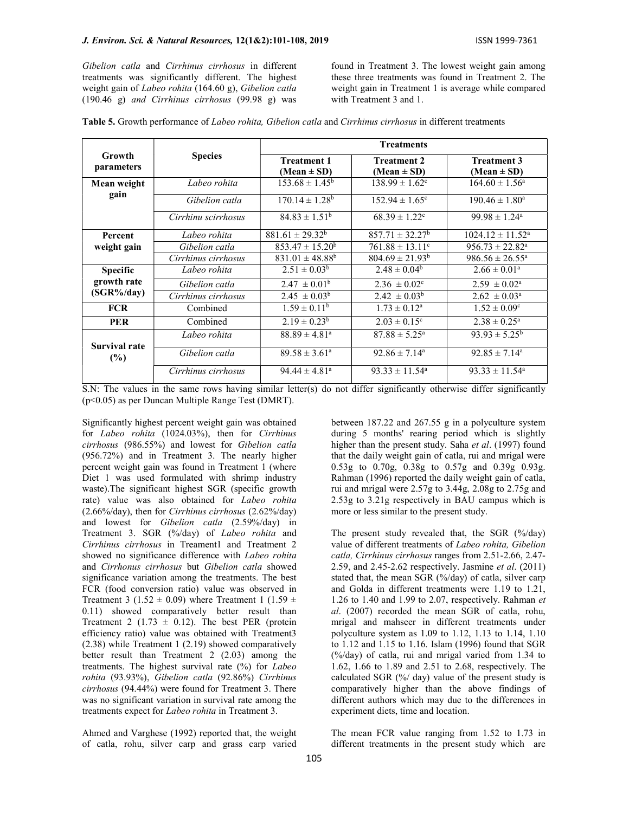Gibelion catla and Cirrhinus cirrhosus in different treatments was significantly different. The highest weight gain of Labeo rohita (164.60 g), Gibelion catla (190.46 g) and Cirrhinus cirrhosus (99.98 g) was

found in Treatment 3. The lowest weight gain among these three treatments was found in Treatment 2. The weight gain in Treatment 1 is average while compared with Treatment 3 and 1.

| <b>Table 5.</b> Growth performance of <i>Labeo rohita, Gibelion catla</i> and <i>Cirrhinus cirrhosus</i> in different treatments |  |  |  |
|----------------------------------------------------------------------------------------------------------------------------------|--|--|--|
|----------------------------------------------------------------------------------------------------------------------------------|--|--|--|

|                      |                     |                                       | <b>Treatments</b>                     |                                       |  |  |  |  |
|----------------------|---------------------|---------------------------------------|---------------------------------------|---------------------------------------|--|--|--|--|
| Growth<br>parameters | <b>Species</b>      | <b>Treatment 1</b><br>$(Mean \pm SD)$ | <b>Treatment 2</b><br>$(Mean \pm SD)$ | <b>Treatment 3</b><br>(Mean $\pm$ SD) |  |  |  |  |
| Mean weight          | Labeo rohita        | $153.68 \pm 1.45^b$                   | $138.99 \pm 1.62^{\circ}$             | $164.60 \pm 1.56^{\circ}$             |  |  |  |  |
| gain                 | Gibelion catla      | $170.14 \pm 1.28^b$                   | $152.94 \pm 1.65$ <sup>c</sup>        | $190.46 \pm 1.80^{\circ}$             |  |  |  |  |
|                      | Cirrhinu scirrhosus | $84.83 \pm 1.51^{\rm b}$              | $68.39 \pm 1.22$ <sup>c</sup>         | $99.98 \pm 1.24$ <sup>a</sup>         |  |  |  |  |
| Percent              | Labeo rohita        | $881.61 \pm 29.32^b$                  | $857.71 \pm 32.27^b$                  | $1024.12 \pm 11.52^{\text{a}}$        |  |  |  |  |
| weight gain          | Gibelion catla      | $853.47 \pm 15.20^b$                  | $761.88 \pm 13.11$ <sup>c</sup>       | $956.73 \pm 22.82^{\text{a}}$         |  |  |  |  |
|                      | Cirrhinus cirrhosus | $831.01 \pm 48.88^b$                  | $804.69 \pm 21.93^b$                  | $986.56 \pm 26.55^{\text{a}}$         |  |  |  |  |
| <b>Specific</b>      | Labeo rohita        | $2.51 \pm 0.03^b$                     | $2.48 \pm 0.04^b$                     | $2.66 \pm 0.01^{\text{a}}$            |  |  |  |  |
| growth rate          | Gibelion catla      | $2.47 \pm 0.01^{\rm b}$               | $2.36 \pm 0.02$ <sup>c</sup>          | $2.59 \pm 0.02^{\text{a}}$            |  |  |  |  |
| $(SGR\% / day)$      | Cirrhinus cirrhosus | $2.45 \pm 0.03^b$                     | $2.42 \pm 0.03^b$                     | $2.62 \pm 0.03^{\text{a}}$            |  |  |  |  |
| <b>FCR</b>           | Combined            | $1.59 \pm 0.11^{\rm b}$               | $1.73 \pm 0.12^a$                     | $1.52 \pm 0.09$ <sup>c</sup>          |  |  |  |  |
| <b>PER</b>           | Combined            | $2.19 \pm 0.23^b$                     | $2.03 \pm 0.15$ <sup>c</sup>          | $2.38 \pm 0.25^{\text{a}}$            |  |  |  |  |
| Survival rate        | Labeo rohita        | $88.89 \pm 4.81$ <sup>a</sup>         | $87.88 \pm 5.25^{\circ}$              | $93.93 \pm 5.25^{\rm b}$              |  |  |  |  |
| $(\%)$               | Gibelion catla      | $89.58 \pm 3.61^{\circ}$              | $92.86 \pm 7.14^{\circ}$              | $92.85 \pm 7.14^a$                    |  |  |  |  |
|                      | Cirrhinus cirrhosus | $94.44 \pm 4.81$ <sup>a</sup>         | $93.33 \pm 11.54^{\circ}$             | $93.33 \pm 11.54^{\circ}$             |  |  |  |  |

S.N: The values in the same rows having similar letter(s) do not differ significantly otherwise differ significantly (p<0.05) as per Duncan Multiple Range Test (DMRT).

Significantly highest percent weight gain was obtained for Labeo rohita (1024.03%), then for Cirrhinus cirrhosus (986.55%) and lowest for Gibelion catla (956.72%) and in Treatment 3. The nearly higher percent weight gain was found in Treatment 1 (where Diet 1 was used formulated with shrimp industry waste).The significant highest SGR (specific growth rate) value was also obtained for Labeo rohita (2.66%/day), then for Cirrhinus cirrhosus (2.62%/day) and lowest for Gibelion catla (2.59%/day) in Treatment 3. SGR (%/day) of Labeo rohita and Cirrhinus cirrhosus in Treament1 and Treatment 2 showed no significance difference with Labeo rohita and Cirrhonus cirrhosus but Gibelion catla showed significance variation among the treatments. The best FCR (food conversion ratio) value was observed in Treatment 3 (1.52  $\pm$  0.09) where Treatment 1 (1.59  $\pm$ 0.11) showed comparatively better result than Treatment 2 (1.73  $\pm$  0.12). The best PER (protein efficiency ratio) value was obtained with Treatment3 (2.38) while Treatment 1 (2.19) showed comparatively better result than Treatment 2 (2.03) among the treatments. The highest survival rate (%) for Labeo rohita (93.93%), Gibelion catla (92.86%) Cirrhinus cirrhosus (94.44%) were found for Treatment 3. There was no significant variation in survival rate among the treatments expect for Labeo rohita in Treatment 3.

Ahmed and Varghese (1992) reported that, the weight of catla, rohu, silver carp and grass carp varied between 187.22 and 267.55 g in a polyculture system during 5 months' rearing period which is slightly higher than the present study. Saha et al. (1997) found that the daily weight gain of catla, rui and mrigal were 0.53g to 0.70g, 0.38g to 0.57g and 0.39g 0.93g. Rahman (1996) reported the daily weight gain of catla, rui and mrigal were 2.57g to 3.44g, 2.08g to 2.75g and 2.53g to 3.21g respectively in BAU campus which is more or less similar to the present study.

The present study revealed that, the SGR (%/day) value of different treatments of Labeo rohita, Gibelion catla, Cirrhinus cirrhosus ranges from 2.51-2.66, 2.47- 2.59, and 2.45-2.62 respectively. Jasmine *et al.* (2011) stated that, the mean SGR (%/day) of catla, silver carp and Golda in different treatments were 1.19 to 1.21, 1.26 to 1.40 and 1.99 to 2.07, respectively. Rahman  $et$ al. (2007) recorded the mean SGR of catla, rohu, mrigal and mahseer in different treatments under polyculture system as 1.09 to 1.12, 1.13 to 1.14, 1.10 to 1.12 and 1.15 to 1.16. Islam (1996) found that SGR (%/day) of catla, rui and mrigal varied from 1.34 to 1.62, 1.66 to 1.89 and 2.51 to 2.68, respectively. The calculated SGR (%/ day) value of the present study is comparatively higher than the above findings of different authors which may due to the differences in experiment diets, time and location.

The mean FCR value ranging from 1.52 to 1.73 in different treatments in the present study which are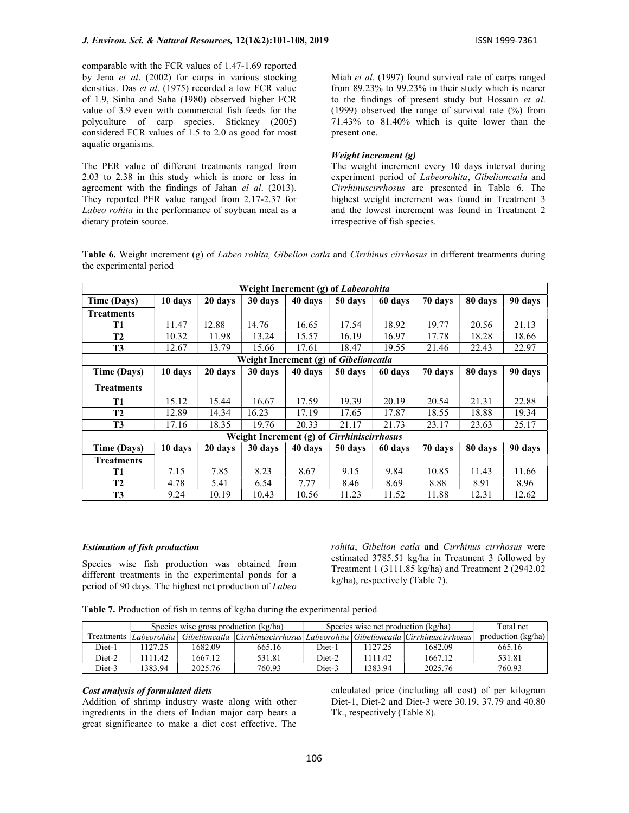comparable with the FCR values of 1.47-1.69 reported by Jena et al. (2002) for carps in various stocking densities. Das et al. (1975) recorded a low FCR value of 1.9, Sinha and Saha (1980) observed higher FCR value of 3.9 even with commercial fish feeds for the polyculture of carp species. Stickney (2005) considered FCR values of 1.5 to 2.0 as good for most aquatic organisms.

The PER value of different treatments ranged from 2.03 to 2.38 in this study which is more or less in agreement with the findings of Jahan el al. (2013). They reported PER value ranged from 2.17-2.37 for Labeo rohita in the performance of soybean meal as a dietary protein source.

Miah et al. (1997) found survival rate of carps ranged from 89.23% to 99.23% in their study which is nearer to the findings of present study but Hossain et al. (1999) observed the range of survival rate (%) from 71.43% to 81.40% which is quite lower than the present one.

# Weight increment (g)

The weight increment every 10 days interval during experiment period of Labeorohita, Gibelioncatla and Cirrhinuscirrhosus are presented in Table 6. The highest weight increment was found in Treatment 3 and the lowest increment was found in Treatment 2 irrespective of fish species.

Table 6. Weight increment (g) of Labeo rohita, Gibelion catla and Cirrhinus cirrhosus in different treatments during the experimental period

| Weight Increment (g) of <i>Labeorohita</i> |         |         |         |         |                                                   |         |         |         |         |
|--------------------------------------------|---------|---------|---------|---------|---------------------------------------------------|---------|---------|---------|---------|
| Time (Days)                                | 10 days | 20 days | 30 days | 40 days | 50 days                                           | 60 days | 70 days | 80 days | 90 days |
| <b>Treatments</b>                          |         |         |         |         |                                                   |         |         |         |         |
| T1                                         | 11.47   | 12.88   | 14.76   | 16.65   | 17.54                                             | 18.92   | 19.77   | 20.56   | 21.13   |
| T <sub>2</sub>                             | 10.32   | 11.98   | 13.24   | 15.57   | 16.19                                             | 16.97   | 17.78   | 18.28   | 18.66   |
| T3                                         | 12.67   | 13.79   | 15.66   | 17.61   | 18.47                                             | 19.55   | 21.46   | 22.43   | 22.97   |
|                                            |         |         |         |         | Weight Increment (g) of Gibelioncatla             |         |         |         |         |
| <b>Time (Days)</b>                         | 10 days | 20 days | 30 days | 40 days | 50 days                                           | 60 days | 70 days | 80 days | 90 days |
| <b>Treatments</b>                          |         |         |         |         |                                                   |         |         |         |         |
| T1                                         | 15.12   | 15.44   | 16.67   | 17.59   | 19.39                                             | 20.19   | 20.54   | 21.31   | 22.88   |
| T <sub>2</sub>                             | 12.89   | 14.34   | 16.23   | 17.19   | 17.65                                             | 17.87   | 18.55   | 18.88   | 19.34   |
| T3                                         | 17.16   | 18.35   | 19.76   | 20.33   | 21.17                                             | 21.73   | 23.17   | 23.63   | 25.17   |
|                                            |         |         |         |         | Weight Increment (g) of <i>Cirrhiniscirrhosus</i> |         |         |         |         |
| Time (Days)                                | 10 days | 20 days | 30 days | 40 days | 50 days                                           | 60 days | 70 days | 80 days | 90 days |
| <b>Treatments</b>                          |         |         |         |         |                                                   |         |         |         |         |
| T1                                         | 7.15    | 7.85    | 8.23    | 8.67    | 9.15                                              | 9.84    | 10.85   | 11.43   | 11.66   |
| T <sub>2</sub>                             | 4.78    | 5.41    | 6.54    | 7.77    | 8.46                                              | 8.69    | 8.88    | 8.91    | 8.96    |
| T3                                         | 9.24    | 10.19   | 10.43   | 10.56   | 11.23                                             | 11.52   | 11.88   | 12.31   | 12.62   |

# Estimation of fish production

Species wise fish production was obtained from different treatments in the experimental ponds for a period of 90 days. The highest net production of Labeo rohita, Gibelion catla and Cirrhinus cirrhosus were estimated 3785.51 kg/ha in Treatment 3 followed by Treatment 1 (3111.85 kg/ha) and Treatment 2 (2942.02 kg/ha), respectively (Table 7).

Table 7. Production of fish in terms of kg/ha during the experimental period

|        | Species wise gross production (kg/ha) |         |        | Species wise net production (kg/ha) |         |                                                                                                      | Total net            |
|--------|---------------------------------------|---------|--------|-------------------------------------|---------|------------------------------------------------------------------------------------------------------|----------------------|
|        |                                       |         |        |                                     |         | Treatments Labeorohita Gibelioncatla Cirrhinuscirrhosus Labeorohita Gibelioncatla Cirrhinuscirrhosus | production $(kg/ha)$ |
| Diet-1 | 127.25                                | 1682.09 | 665.16 | Diet-1                              | 127.25  | 1682.09                                                                                              | 665.16               |
| Diet-2 | 111.42                                | 1667.12 | 531.81 | Diet-2                              | 111.42  | 1667.12                                                                                              | 531.81               |
| Diet-3 | 1383.94                               | 2025.76 | 760.93 | Diet-3                              | 1383.94 | 2025.76                                                                                              | 760.93               |

## Cost analysis of formulated diets

Addition of shrimp industry waste along with other ingredients in the diets of Indian major carp bears a great significance to make a diet cost effective. The calculated price (including all cost) of per kilogram Diet-1, Diet-2 and Diet-3 were 30.19, 37.79 and 40.80 Tk., respectively (Table 8).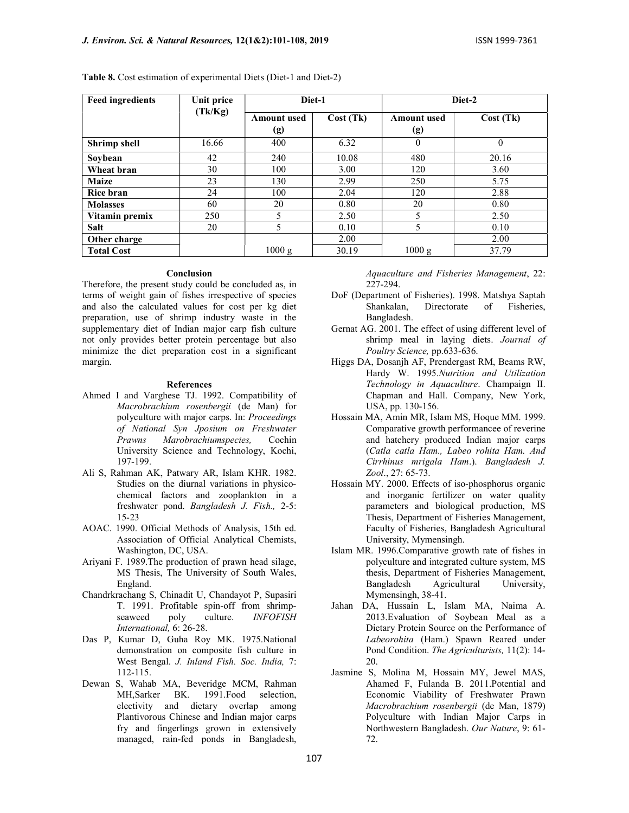| <b>Feed ingredients</b> | Unit price | Diet-1<br>Cost(Tk)<br><b>Amount</b> used<br>(g) |       |                           | Diet-2   |
|-------------------------|------------|-------------------------------------------------|-------|---------------------------|----------|
|                         | (Tk/Kg)    |                                                 |       | <b>Amount</b> used<br>(g) | Cost(Tk) |
| <b>Shrimp</b> shell     | 16.66      | 400                                             | 6.32  | $\theta$                  | $\theta$ |
| Soybean                 | 42         | 240                                             | 10.08 | 480                       | 20.16    |
| Wheat bran              | 30         | 100                                             | 3.00  | 120                       | 3.60     |
| <b>Maize</b>            | 23         | 130                                             | 2.99  | 250                       | 5.75     |
| <b>Rice bran</b>        | 24         | 100                                             | 2.04  | 120                       | 2.88     |
| <b>Molasses</b>         | 60         | 20                                              | 0.80  | 20                        | 0.80     |
| Vitamin premix          | 250        | 5                                               | 2.50  | 5                         | 2.50     |
| <b>Salt</b>             | 20         | 5                                               | 0.10  | 5                         | 0.10     |
| Other charge            |            |                                                 | 2.00  |                           | 2.00     |
| <b>Total Cost</b>       |            | 1000 g                                          | 30.19 | 1000 g                    | 37.79    |

Table 8. Cost estimation of experimental Diets (Diet-1 and Diet-2)

### Conclusion

Therefore, the present study could be concluded as, in terms of weight gain of fishes irrespective of species and also the calculated values for cost per kg diet preparation, use of shrimp industry waste in the supplementary diet of Indian major carp fish culture not only provides better protein percentage but also minimize the diet preparation cost in a significant margin.

### References

- Ahmed I and Varghese TJ. 1992. Compatibility of Macrobrachium rosenbergii (de Man) for polyculture with major carps. In: Proceedings of National Syn Jposium on Freshwater Prawns Marobrachiumspecies, Cochin University Science and Technology, Kochi, 197-199.
- Ali S, Rahman AK, Patwary AR, Islam KHR. 1982. Studies on the diurnal variations in physicochemical factors and zooplankton in a freshwater pond. Bangladesh J. Fish., 2-5: 15-23
- AOAC. 1990. Official Methods of Analysis, 15th ed. Association of Official Analytical Chemists, Washington, DC, USA.
- Ariyani F. 1989.The production of prawn head silage, MS Thesis, The University of South Wales, England.
- Chandrkrachang S, Chinadit U, Chandayot P, Supasiri T. 1991. Profitable spin-off from shrimpseaweed poly culture. *INFOFISH* International, 6: 26-28.
- Das P, Kumar D, Guha Roy MK. 1975.National demonstration on composite fish culture in West Bengal. J. Inland Fish. Soc. India, 7: 112-115.
- Dewan S, Wahab MA, Beveridge MCM, Rahman MH,Sarker BK. 1991.Food selection, electivity and dietary overlap among Plantivorous Chinese and Indian major carps fry and fingerlings grown in extensively managed, rain-fed ponds in Bangladesh,

Aquaculture and Fisheries Management, 22: 227-294.

- DoF (Department of Fisheries). 1998. Matshya Saptah Shankalan, Directorate of Fisheries, Bangladesh.
- Gernat AG. 2001. The effect of using different level of shrimp meal in laying diets. Journal of Poultry Science, pp.633-636.
- Higgs DA, Dosanjh AF, Prendergast RM, Beams RW, Hardy W. 1995.Nutrition and Utilization Technology in Aquaculture. Champaign II. Chapman and Hall. Company, New York, USA, pp. 130-156.
- Hossain MA, Amin MR, Islam MS, Hoque MM. 1999. Comparative growth performancee of reverine and hatchery produced Indian major carps (Catla catla Ham., Labeo rohita Ham. And Cirrhinus mrigala Ham.). Bangladesh J. Zool., 27: 65-73.
- Hossain MY. 2000. Effects of iso-phosphorus organic and inorganic fertilizer on water quality parameters and biological production, MS Thesis, Department of Fisheries Management, Faculty of Fisheries, Bangladesh Agricultural University, Mymensingh.
- Islam MR. 1996.Comparative growth rate of fishes in polyculture and integrated culture system, MS thesis, Department of Fisheries Management, Bangladesh Agricultural University, Mymensingh, 38-41.
- Jahan DA, Hussain L, Islam MA, Naima A. 2013.Evaluation of Soybean Meal as a Dietary Protein Source on the Performance of Labeorohita (Ham.) Spawn Reared under Pond Condition. The Agriculturists, 11(2): 14- 20.
- Jasmine S, Molina M, Hossain MY, Jewel MAS, Ahamed F, Fulanda B. 2011.Potential and Economic Viability of Freshwater Prawn Macrobrachium rosenbergii (de Man, 1879) Polyculture with Indian Major Carps in Northwestern Bangladesh. Our Nature, 9: 61- 72.